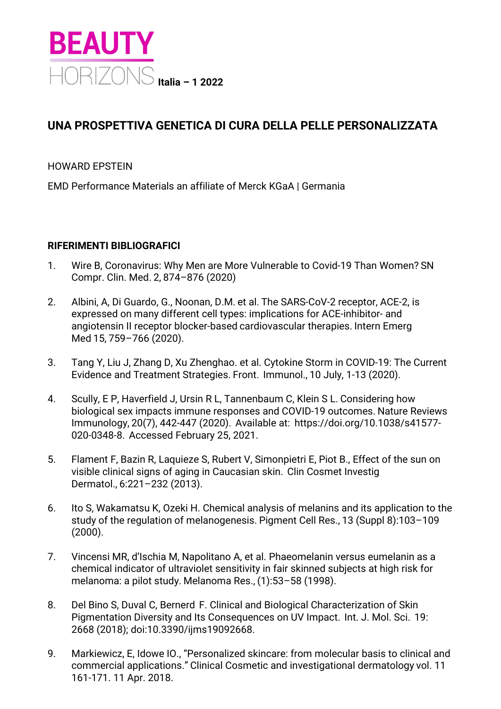

## **UNA PROSPETTIVA GENETICA DI CURA DELLA PELLE PERSONALIZZATA**

## HOWARD EPSTEIN

EMD Performance Materials an affiliate of Merck KGaA | Germania

## **RIFERIMENTI BIBLIOGRAFICI**

- 1. Wire B, Coronavirus: Why Men are More Vulnerable to Covid-19 Than Women? SN Compr. Clin. Med. 2, 874–876 (2020)
- 2. Albini, A, Di Guardo, G., Noonan, D.M. et al. The SARS-CoV-2 receptor, ACE-2, is expressed on many different cell types: implications for ACE-inhibitor- and angiotensin II receptor blocker-based cardiovascular therapies. Intern Emerg Med 15, 759–766 (2020).
- 3. Tang Y, Liu J, Zhang D, Xu Zhenghao. et al. Cytokine Storm in COVID-19: The Current Evidence and Treatment Strategies. Front.  Immunol., 10 July, 1-13 (2020).
- 4. Scully, E P, Haverfield J, Ursin R L, Tannenbaum C, Klein S L. Considering how biological sex impacts immune responses and COVID-19 outcomes. Nature Reviews Immunology, 20(7), 442-447 (2020).  Available at: https://doi.org/10.1038/s41577- 020-0348-8.  Accessed February 25, 2021.
- 5. Flament F, Bazin R, Laquieze S, Rubert V, Simonpietri E, Piot B., Effect of the sun on visible clinical signs of aging in Caucasian skin.  Clin Cosmet Investig Dermatol., 6:221–232 (2013).
- 6. Ito S, Wakamatsu K, Ozeki H. Chemical analysis of melanins and its application to the study of the regulation of melanogenesis. Pigment Cell Res., 13 (Suppl 8):103–109 (2000).
- 7. Vincensi MR, d'Ischia M, Napolitano A, et al. Phaeomelanin versus eumelanin as a chemical indicator of ultraviolet sensitivity in fair skinned subjects at high risk for melanoma: a pilot study. Melanoma Res., (1):53–58 (1998).
- 8. Del Bino S, Duval C, Bernerd  F. Clinical and Biological Characterization of Skin Pigmentation Diversity and Its Conseguences on UV Impact. Int. J. Mol. Sci. 19: 2668 (2018); doi:10.3390/ijms19092668.
- 9. Markiewicz, E, Idowe IO., "Personalized skincare: from molecular basis to clinical and commercial applications." Clinical Cosmetic and investigational dermatology vol. 11 161-171. 11 Apr. 2018.